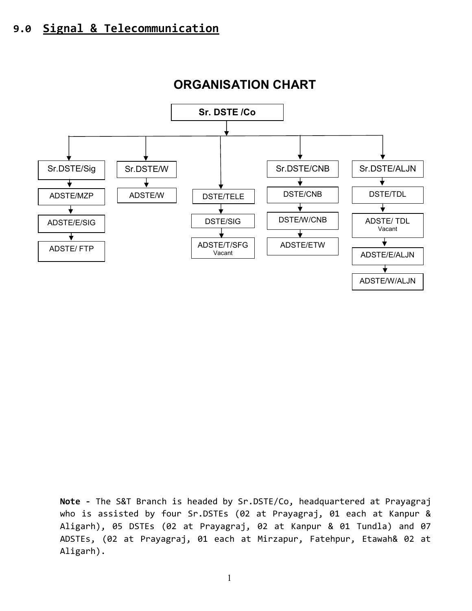

## ORGANISATION CHART

Note - The S&T Branch is headed by Sr.DSTE/Co, headquartered at Prayagraj who is assisted by four Sr.DSTEs (02 at Prayagraj, 01 each at Kanpur & Aligarh), 05 DSTEs (02 at Prayagraj, 02 at Kanpur & 01 Tundla) and 07 ADSTEs, (02 at Prayagraj, 01 each at Mirzapur, Fatehpur, Etawah& 02 at Aligarh).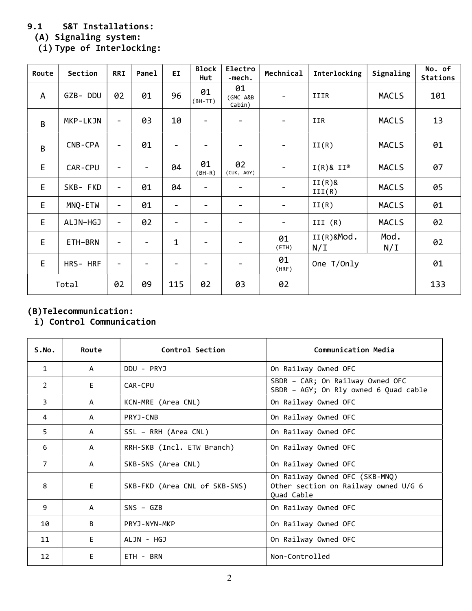### 9.1 S&T Installations:

(A) Signaling system:

(i) Type of Interlocking: Route Section RRI Panel EI Block Electro Mechnical Interlocking Signaling Mo. of Stations Hut

| nuute | <b>PECLIPII</b> | <b>NNT</b>               | <b>FallCT</b>            | <u>ы.</u>                    | Hut                      | -mech.                   | <b>MCCINITCAT</b>        | THE LIGHTING               | <b>Primation</b> | <b>Stations</b> |
|-------|-----------------|--------------------------|--------------------------|------------------------------|--------------------------|--------------------------|--------------------------|----------------------------|------------------|-----------------|
| A     | GZB-DDU         | 02                       | 01                       | 96                           | 01<br>$(BH-TT)$          | 01<br>(GMC A&B<br>Cabin) | -                        | IIIR                       | <b>MACLS</b>     | 101             |
| B     | MKP-LKJN        | $\overline{\phantom{a}}$ | 03                       | 10                           | $\overline{\phantom{a}}$ |                          | $\overline{\phantom{a}}$ | IIR                        | <b>MACLS</b>     | 13              |
| B     | CNB-CPA         | $\qquad \qquad -$        | 01                       |                              |                          |                          | -                        | II(R)                      | <b>MACLS</b>     | 01              |
| E     | CAR-CPU         | $\qquad \qquad -$        |                          | 04                           | 01<br>$(BH-R)$           | 02<br>(CUK, AGY)         | $\overline{\phantom{0}}$ | $I(R)$ & $II$ <sup>®</sup> | <b>MACLS</b>     | 07              |
| E     | SKB- FKD        | $\overline{\phantom{0}}$ | 01                       | 04                           | $\overline{\phantom{a}}$ |                          |                          | $II(R)$ &<br>III(R)        | <b>MACLS</b>     | 05              |
| E     | MNQ-ETW         | $\overline{\phantom{0}}$ | 01                       | $\qquad \qquad \blacksquare$ | -                        | -                        | $\blacksquare$           | II(R)                      | <b>MACLS</b>     | 01              |
| E     | ALJN-HGJ        | $\qquad \qquad -$        | 02                       |                              |                          |                          | -                        | III $(R)$                  | <b>MACLS</b>     | 02              |
| E     | ETH-BRN         | -                        | $\overline{\phantom{a}}$ | $\mathbf 1$                  | $\overline{\phantom{0}}$ |                          | 01<br>(ETH)              | $II(R)$ &Mod.<br>N/L       | Mod.<br>N/I      | 02              |
| E     | HRS- HRF        | $\overline{\phantom{a}}$ |                          |                              |                          |                          | 01<br>(HRF)              | One T/Only                 |                  | 01              |
|       | Total           | 02                       | 09                       | 115                          | 02                       | 03                       | 02                       |                            |                  | 133             |

#### (B)Telecommunication:

## i) Control Communication

| S.No.          | Route        | Control Section               | Communication Media                                                                  |
|----------------|--------------|-------------------------------|--------------------------------------------------------------------------------------|
| $\mathbf{1}$   | A            | DDU - PRYJ                    | On Railway Owned OFC                                                                 |
| 2              | E.           | CAR-CPU                       | SBDR - CAR; On Railway Owned OFC<br>SBDR - AGY; On Rly owned 6 Quad cable            |
| $\overline{3}$ | A            | KCN-MRE (Area CNL)            | On Railway Owned OFC                                                                 |
| 4              | A            | PRYJ-CNB                      | On Railway Owned OFC                                                                 |
| 5              | A            | SSL - RRH (Area CNL)          | On Railway Owned OFC                                                                 |
| 6              | A            | RRH-SKB (Incl. ETW Branch)    | On Railway Owned OFC                                                                 |
| $\overline{7}$ | $\mathsf{A}$ | SKB-SNS (Area CNL)            | On Railway Owned OFC                                                                 |
| 8              | E.           | SKB-FKD (Area CNL of SKB-SNS) | On Railway Owned OFC (SKB-MNQ)<br>Other section on Railway owned U/G 6<br>Quad Cable |
| 9              | A            | $SNS - GZB$                   | On Railway Owned OFC                                                                 |
| 10             | B            | PRYJ-NYN-MKP                  | On Railway Owned OFC                                                                 |
| 11             | E.           | ALJN - HGJ                    | On Railway Owned OFC                                                                 |
| 12             | Е            | ETH - BRN                     | Non-Controlled                                                                       |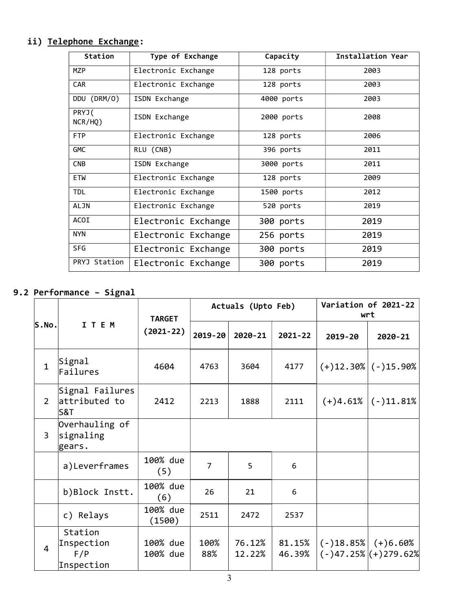## ii) Telephone Exchange:

| Station          | Type of Exchange    | Capacity   | Installation Year |  |
|------------------|---------------------|------------|-------------------|--|
| MZP              | Electronic Exchange | 128 ports  | 2003              |  |
| <b>CAR</b>       | Electronic Exchange | 128 ports  | 2003              |  |
| DDU (DRM/0)      | ISDN Exchange       | 4000 ports | 2003              |  |
| PRYJ(<br>NCR/HQ) | ISDN Exchange       | 2000 ports | 2008              |  |
| <b>FTP</b>       | Electronic Exchange | 128 ports  | 2006              |  |
| <b>GMC</b>       | RLU (CNB)           | 396 ports  | 2011              |  |
| <b>CNB</b>       | ISDN Exchange       | 3000 ports | 2011              |  |
| <b>ETW</b>       | Electronic Exchange | 128 ports  | 2009              |  |
| <b>TDL</b>       | Electronic Exchange | 1500 ports | 2012              |  |
| <b>ALJN</b>      | Electronic Exchange | 520 ports  | 2019              |  |
| <b>ACOI</b>      | Electronic Exchange | 300 ports  | 2019              |  |
| <b>NYN</b>       | Electronic Exchange | 256 ports  | 2019              |  |
| <b>SFG</b>       | Electronic Exchange | 300 ports  | 2019              |  |
| PRYJ Station     | Electronic Exchange | 300 ports  | 2019              |  |

## 9.2 Performance – Signal

|                |                                                    | <b>TARGET</b>        |             | Actuals (Upto Feb) | Variation of 2021-22<br>wrt |            |                                                        |
|----------------|----------------------------------------------------|----------------------|-------------|--------------------|-----------------------------|------------|--------------------------------------------------------|
| S.No.          | I T E M                                            | $(2021 - 22)$        | 2019-20     | 2020-21            | $2021 - 22$                 | 2019-20    | 2020-21                                                |
| $\mathbf{1}$   | Signal<br>Failures                                 | 4604                 | 4763        | 3604               | 4177                        |            | $(+)12.30\%$ (-)15.90%                                 |
| $\overline{2}$ | Signal Failures<br>attributed to<br><b>S&amp;T</b> | 2412                 | 2213        | 1888               | 2111                        | $(+)4.61%$ | $ (-)11.81\%$                                          |
| 3              | Overhauling of<br>signaling<br>gears.              |                      |             |                    |                             |            |                                                        |
|                | a)Leverframes                                      | 100% due<br>(5)      | 7           | 5                  | 6                           |            |                                                        |
|                | b)Block Instt.                                     | 100% due<br>(6)      | 26          | 21                 | 6                           |            |                                                        |
|                | c) Relays                                          | 100% due<br>(1500)   | 2511        | 2472               | 2537                        |            |                                                        |
| $\overline{4}$ | Station<br>Inspection<br>F/P<br>Inspection         | 100% due<br>100% due | 100%<br>88% | 76.12%<br>12.22%   | 81.15%<br>46.39%            |            | $(-)18.85\%$ $(+)6.60\%$<br>$(-)47.25\%$ $(+)279.62\%$ |